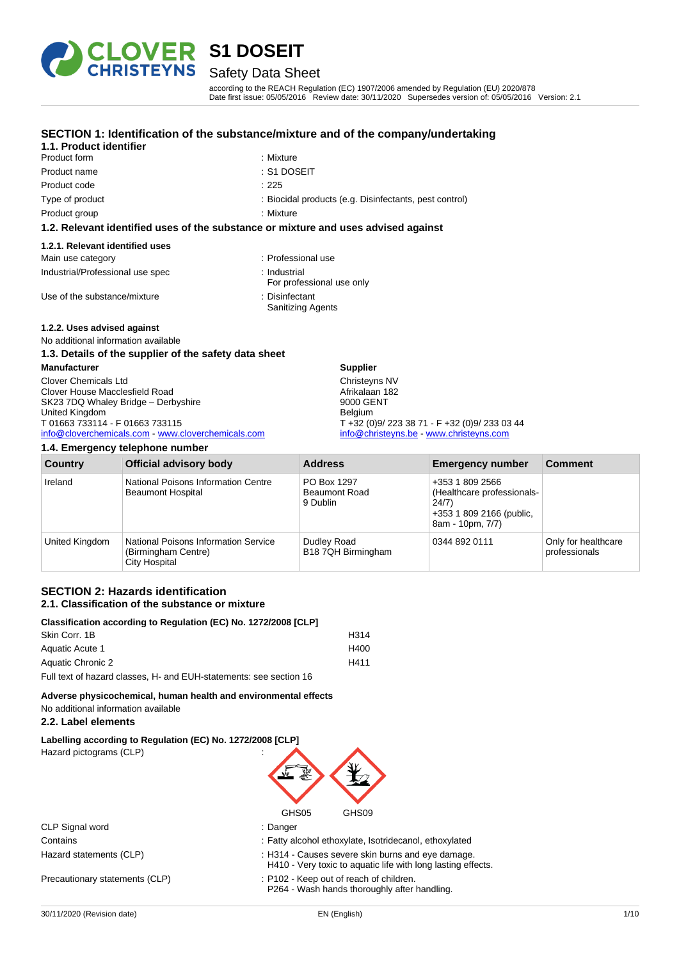

### Safety Data Sheet

according to the REACH Regulation (EC) 1907/2006 amended by Regulation (EU) 2020/878 Date first issue: 05/05/2016 Review date: 30/11/2020 Supersedes version of: 05/05/2016 Version: 2.1

#### **SECTION 1: Identification of the substance/mixture and of the company/undertaking**

#### **1.1. Product identifier** Product form : Nixture : Mixture

- Product name : S1 DOSEIT Product code : 225
- -
	-
- Type of product : Biocidal products (e.g. Disinfectants, pest control)
- Product group **Example 20** in Mixture : Mixture

#### **1.2. Relevant identified uses of the substance or mixture and uses advised against**

#### **1.2.1. Relevant identified uses**

| Main use category                | : Professional use                         |
|----------------------------------|--------------------------------------------|
| Industrial/Professional use spec | : Industrial<br>For professional use only  |
| Use of the substance/mixture     | : Disinfectant<br><b>Sanitizing Agents</b> |

#### **1.2.2. Uses advised against**

#### No additional information available **1.3. Details of the supplier of the safety data sheet**

| <b>Manufacturer</b>                                | <b>Supplier</b>                               |
|----------------------------------------------------|-----------------------------------------------|
| <b>Clover Chemicals Ltd</b>                        | Christeyns NV                                 |
| Clover House Macclesfield Road                     | Afrikalaan 182                                |
| SK23 7DQ Whaley Bridge - Derbyshire                | 9000 GENT                                     |
| United Kingdom                                     | Belgium                                       |
| T 01663 733114 - F 01663 733115                    | T +32 (0)9/ 223 38 71 - F +32 (0)9/ 233 03 44 |
| info@cloverchemicals.com - www.cloverchemicals.com | info@christeyns.be - www.christeyns.com       |
|                                                    |                                               |

#### **1.4. Emergency telephone number**

| <b>Country</b> | <b>Official advisory body</b>                                                              | <b>Address</b>                                  | <b>Emergency number</b>                                                                                | <b>Comment</b>                       |
|----------------|--------------------------------------------------------------------------------------------|-------------------------------------------------|--------------------------------------------------------------------------------------------------------|--------------------------------------|
| Ireland        | National Poisons Information Centre<br><b>Beaumont Hospital</b>                            | PO Box 1297<br><b>Beaumont Road</b><br>9 Dublin | +353 1 809 2566<br>(Healthcare professionals-<br>24/7)<br>+353 1 809 2166 (public,<br>8am - 10pm, 7/7) |                                      |
| United Kingdom | <b>National Poisons Information Service</b><br>(Birmingham Centre)<br><b>City Hospital</b> | Dudley Road<br>B18 7QH Birmingham               | 0344 892 0111                                                                                          | Only for healthcare<br>professionals |

#### **SECTION 2: Hazards identification 2.1. Classification of the substance or mixture**

| Classification according to Regulation (EC) No. 1272/2008 [CLP]    |      |
|--------------------------------------------------------------------|------|
| Skin Corr. 1B                                                      | H314 |
| Aquatic Acute 1                                                    | H400 |
| Aquatic Chronic 2                                                  | H411 |
| Full text of hazard classes. H- and FUH-statements: see section 16 |      |

**Adverse physicochemical, human health and environmental effects** No additional information available

#### **2.2. Label elements**

**Labelling according to Regulation (EC) No. 1272/2008 [CLP]** Hazard pictograms (CLP) :



|                                | GHS05<br>GHS09                                                                                                    |  |
|--------------------------------|-------------------------------------------------------------------------------------------------------------------|--|
| CLP Signal word                | : Danger                                                                                                          |  |
| Contains                       | : Fatty alcohol ethoxylate, Isotridecanol, ethoxylated                                                            |  |
| Hazard statements (CLP)        | : H314 - Causes severe skin burns and eye damage.<br>H410 - Very toxic to aquatic life with long lasting effects. |  |
| Precautionary statements (CLP) | : P102 - Keep out of reach of children.<br>P264 - Wash hands thoroughly after handling.                           |  |
|                                |                                                                                                                   |  |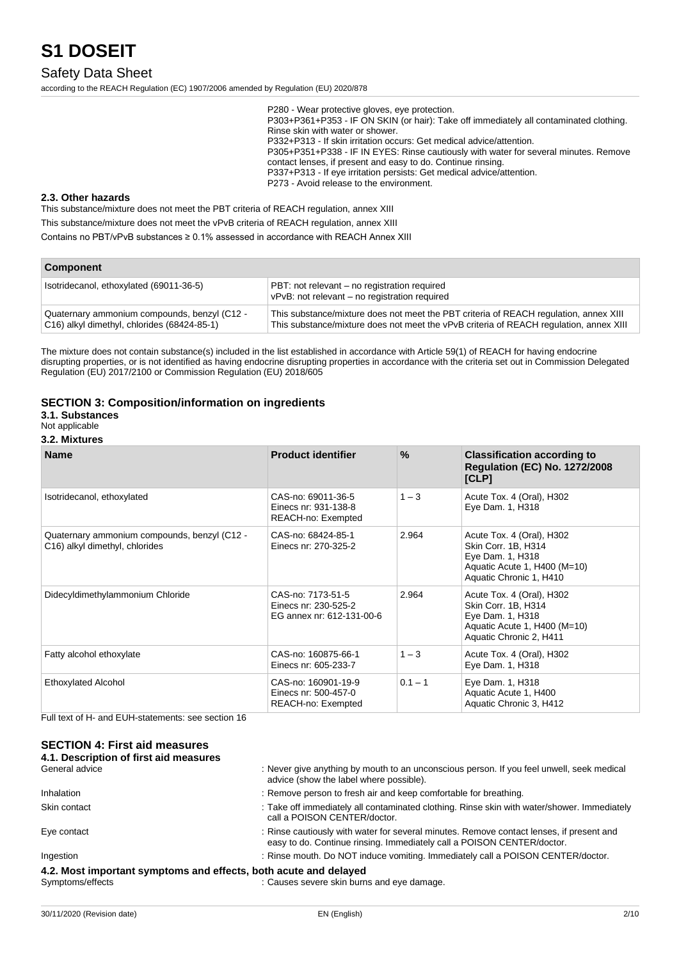## Safety Data Sheet

according to the REACH Regulation (EC) 1907/2006 amended by Regulation (EU) 2020/878

P280 - Wear protective gloves, eye protection. P303+P361+P353 - IF ON SKIN (or hair): Take off immediately all contaminated clothing. Rinse skin with water or shower. P332+P313 - If skin irritation occurs: Get medical advice/attention. P305+P351+P338 - IF IN EYES: Rinse cautiously with water for several minutes. Remove contact lenses, if present and easy to do. Continue rinsing. P337+P313 - If eye irritation persists: Get medical advice/attention. P273 - Avoid release to the environment.

#### **2.3. Other hazards**

This substance/mixture does not meet the PBT criteria of REACH regulation, annex XIII

This substance/mixture does not meet the vPvB criteria of REACH regulation, annex XIII

Contains no PBT/vPvB substances ≥ 0.1% assessed in accordance with REACH Annex XIII

| <b>Component</b>                                                                            |                                                                                                                                                                                 |  |
|---------------------------------------------------------------------------------------------|---------------------------------------------------------------------------------------------------------------------------------------------------------------------------------|--|
| Isotridecanol, ethoxylated (69011-36-5)                                                     | PBT: not relevant – no registration required<br>vPvB: not relevant - no registration required                                                                                   |  |
| Quaternary ammonium compounds, benzyl (C12 -<br>C16) alkyl dimethyl, chlorides (68424-85-1) | This substance/mixture does not meet the PBT criteria of REACH regulation, annex XIII<br>This substance/mixture does not meet the vPvB criteria of REACH regulation, annex XIII |  |

The mixture does not contain substance(s) included in the list established in accordance with Article 59(1) of REACH for having endocrine disrupting properties, or is not identified as having endocrine disrupting properties in accordance with the criteria set out in Commission Delegated Regulation (EU) 2017/2100 or Commission Regulation (EU) 2018/605

#### **SECTION 3: Composition/information on ingredients**

**3.1. Substances**

Not applicable

#### **3.2. Mixtures**

| <b>Name</b>                                                                                 | <b>Product identifier</b>                                              | $\%$      | <b>Classification according to</b><br><b>Regulation (EC) No. 1272/2008</b><br>[CLP]                                             |
|---------------------------------------------------------------------------------------------|------------------------------------------------------------------------|-----------|---------------------------------------------------------------------------------------------------------------------------------|
| Isotridecanol, ethoxylated                                                                  | CAS-no: 69011-36-5<br>Einecs nr: 931-138-8<br>REACH-no: Exempted       | $1 - 3$   | Acute Tox. 4 (Oral), H302<br>Eye Dam. 1, H318                                                                                   |
| Quaternary ammonium compounds, benzyl (C12 -<br>C <sub>16</sub> ) alkyl dimethyl, chlorides | CAS-no: 68424-85-1<br>Einecs nr: 270-325-2                             | 2.964     | Acute Tox. 4 (Oral), H302<br>Skin Corr. 1B, H314<br>Eye Dam. 1, H318<br>Aquatic Acute 1, H400 (M=10)<br>Aquatic Chronic 1, H410 |
| Didecyldimethylammonium Chloride                                                            | CAS-no: 7173-51-5<br>Einecs nr: 230-525-2<br>EG annex nr: 612-131-00-6 | 2.964     | Acute Tox. 4 (Oral), H302<br>Skin Corr. 1B, H314<br>Eye Dam. 1, H318<br>Aquatic Acute 1, H400 (M=10)<br>Aquatic Chronic 2, H411 |
| Fatty alcohol ethoxylate                                                                    | CAS-no: 160875-66-1<br>Einecs nr: 605-233-7                            | $1 - 3$   | Acute Tox. 4 (Oral), H302<br>Eye Dam. 1, H318                                                                                   |
| <b>Ethoxylated Alcohol</b>                                                                  | CAS-no: 160901-19-9<br>Einecs nr: 500-457-0<br>REACH-no: Exempted      | $0.1 - 1$ | Eye Dam. 1, H318<br>Aquatic Acute 1, H400<br>Aquatic Chronic 3, H412                                                            |

Full text of H- and EUH-statements: see section 16

### **SECTION 4: First aid measures**

| 4.1. Description of first aid measures                           |                                                                                                                                                                    |
|------------------------------------------------------------------|--------------------------------------------------------------------------------------------------------------------------------------------------------------------|
| General advice                                                   | : Never give anything by mouth to an unconscious person. If you feel unwell, seek medical<br>advice (show the label where possible).                               |
| <b>Inhalation</b>                                                | : Remove person to fresh air and keep comfortable for breathing.                                                                                                   |
| Skin contact                                                     | : Take off immediately all contaminated clothing. Rinse skin with water/shower. Immediately<br>call a POISON CENTER/doctor.                                        |
| Eye contact                                                      | : Rinse cautiously with water for several minutes. Remove contact lenses, if present and<br>easy to do. Continue rinsing. Immediately call a POISON CENTER/doctor. |
| Ingestion                                                        | : Rinse mouth. Do NOT induce vomiting. Immediately call a POISON CENTER/doctor.                                                                                    |
| 4.2. Most important symptoms and effects, both acute and delayed |                                                                                                                                                                    |
|                                                                  |                                                                                                                                                                    |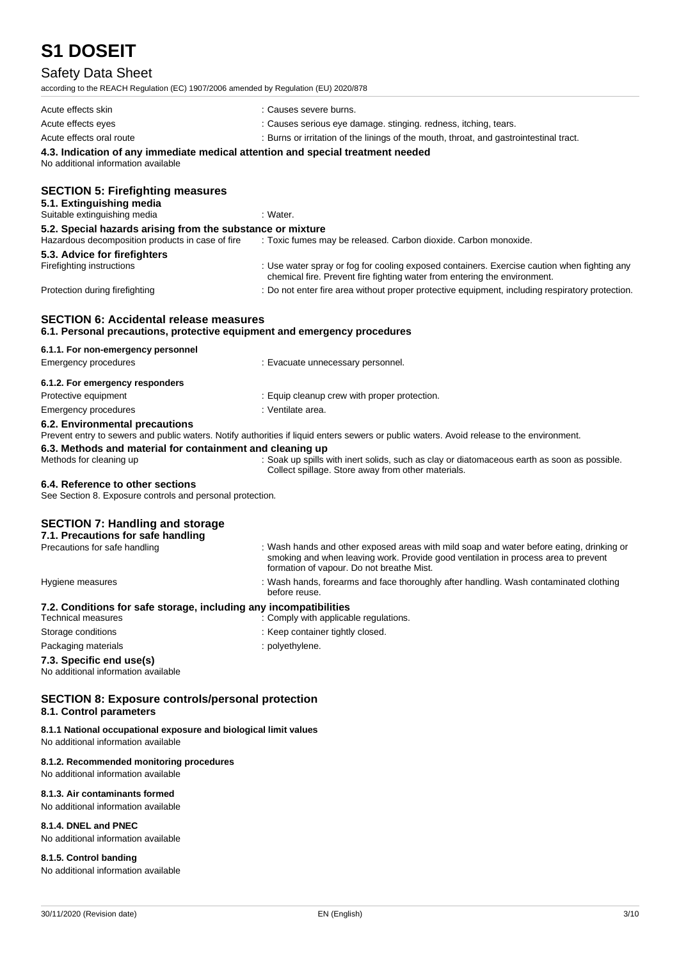## Safety Data Sheet

according to the REACH Regulation (EC) 1907/2006 amended by Regulation (EU) 2020/878

| according to the REACH Regulation (EO) 1907/2000 amended by Regulation (EO) 2020/070                                      |                                                                                                                                                                                                                             |
|---------------------------------------------------------------------------------------------------------------------------|-----------------------------------------------------------------------------------------------------------------------------------------------------------------------------------------------------------------------------|
| Acute effects skin                                                                                                        | : Causes severe burns.                                                                                                                                                                                                      |
| Acute effects eyes                                                                                                        | : Causes serious eye damage. stinging. redness, itching, tears.                                                                                                                                                             |
| Acute effects oral route                                                                                                  | : Burns or irritation of the linings of the mouth, throat, and gastrointestinal tract.                                                                                                                                      |
| 4.3. Indication of any immediate medical attention and special treatment needed<br>No additional information available    |                                                                                                                                                                                                                             |
| <b>SECTION 5: Firefighting measures</b><br>5.1. Extinguishing media                                                       |                                                                                                                                                                                                                             |
| Suitable extinguishing media                                                                                              | : Water.                                                                                                                                                                                                                    |
| 5.2. Special hazards arising from the substance or mixture<br>Hazardous decomposition products in case of fire            | : Toxic fumes may be released. Carbon dioxide. Carbon monoxide.                                                                                                                                                             |
| 5.3. Advice for firefighters                                                                                              |                                                                                                                                                                                                                             |
| Firefighting instructions                                                                                                 | : Use water spray or fog for cooling exposed containers. Exercise caution when fighting any<br>chemical fire. Prevent fire fighting water from entering the environment.                                                    |
| Protection during firefighting                                                                                            | : Do not enter fire area without proper protective equipment, including respiratory protection.                                                                                                                             |
| <b>SECTION 6: Accidental release measures</b><br>6.1. Personal precautions, protective equipment and emergency procedures |                                                                                                                                                                                                                             |
| 6.1.1. For non-emergency personnel                                                                                        |                                                                                                                                                                                                                             |
| Emergency procedures                                                                                                      | : Evacuate unnecessary personnel.                                                                                                                                                                                           |
| 6.1.2. For emergency responders                                                                                           |                                                                                                                                                                                                                             |
| Protective equipment                                                                                                      | : Equip cleanup crew with proper protection.                                                                                                                                                                                |
| <b>Emergency procedures</b>                                                                                               | : Ventilate area.                                                                                                                                                                                                           |
| 6.2. Environmental precautions                                                                                            | Prevent entry to sewers and public waters. Notify authorities if liquid enters sewers or public waters. Avoid release to the environment.                                                                                   |
| 6.3. Methods and material for containment and cleaning up<br>Methods for cleaning up                                      | : Soak up spills with inert solids, such as clay or diatomaceous earth as soon as possible.<br>Collect spillage. Store away from other materials.                                                                           |
| 6.4. Reference to other sections                                                                                          |                                                                                                                                                                                                                             |
| See Section 8. Exposure controls and personal protection.                                                                 |                                                                                                                                                                                                                             |
| <b>SECTION 7: Handling and storage</b><br>7.1. Precautions for safe handling                                              |                                                                                                                                                                                                                             |
| Precautions for safe handling                                                                                             | : Wash hands and other exposed areas with mild soap and water before eating, drinking or<br>smoking and when leaving work. Provide good ventilation in process area to prevent<br>formation of vapour. Do not breathe Mist. |
| Hygiene measures                                                                                                          | : Wash hands, forearms and face thoroughly after handling. Wash contaminated clothing<br>before reuse.                                                                                                                      |
| 7.2. Conditions for safe storage, including any incompatibilities                                                         |                                                                                                                                                                                                                             |
| <b>Technical measures</b>                                                                                                 | : Comply with applicable regulations.                                                                                                                                                                                       |
| Storage conditions                                                                                                        | : Keep container tightly closed.                                                                                                                                                                                            |
| Packaging materials                                                                                                       | : polyethylene.                                                                                                                                                                                                             |
| 7.3. Specific end use(s)<br>No additional information available                                                           |                                                                                                                                                                                                                             |
| <b>SECTION 8: Exposure controls/personal protection</b><br>8.1. Control parameters                                        |                                                                                                                                                                                                                             |

#### **8.1.1 National occupational exposure and biological limit values**

No additional information available

#### **8.1.2. Recommended monitoring procedures**

No additional information available

### **8.1.3. Air contaminants formed**

No additional information available

#### **8.1.4. DNEL and PNEC**

No additional information available

### **8.1.5. Control banding**

No additional information available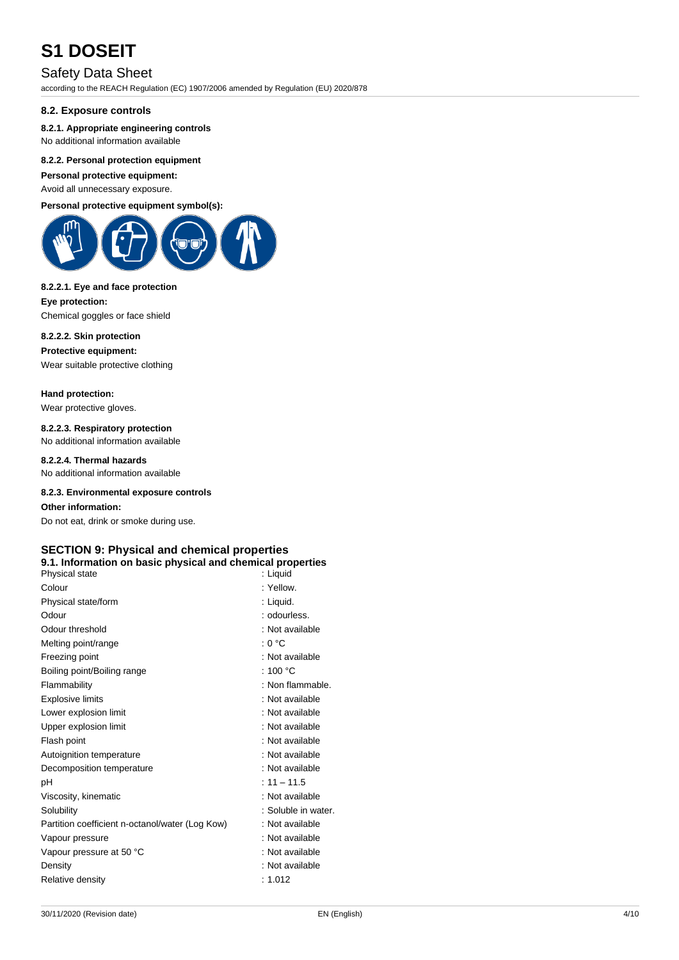### Safety Data Sheet

according to the REACH Regulation (EC) 1907/2006 amended by Regulation (EU) 2020/878

#### **8.2. Exposure controls**

#### **8.2.1. Appropriate engineering controls**

No additional information available

#### **8.2.2. Personal protection equipment**

**Personal protective equipment:**

Avoid all unnecessary exposure.

### **Personal protective equipment symbol(s):**



#### **8.2.2.1. Eye and face protection**

**Eye protection:** Chemical goggles or face shield

#### **8.2.2.2. Skin protection**

**Protective equipment:**

Wear suitable protective clothing

#### **Hand protection:**

Wear protective gloves.

## **8.2.2.3. Respiratory protection**

No additional information available

### **8.2.2.4. Thermal hazards**

No additional information available

#### **8.2.3. Environmental exposure controls**

**Other information:**

Do not eat, drink or smoke during use.

#### **SECTION 9: Physical and chemical properties**

#### **9.1. Information on basic physical and chemical properties**

| Physical state                                  | : Liquid            |
|-------------------------------------------------|---------------------|
| Colour                                          | : Yellow            |
| Physical state/form                             | : Liquid.           |
| Odour                                           | : odourless.        |
| Odour threshold                                 | : Not available     |
| Melting point/range                             | : 0 °C              |
| Freezing point                                  | : Not available     |
| Boiling point/Boiling range                     | : 100 $\degree$ C   |
| Flammability                                    | : Non flammable.    |
| <b>Explosive limits</b>                         | : Not available     |
| Lower explosion limit                           | : Not available     |
| Upper explosion limit                           | : Not available     |
| Flash point                                     | : Not available     |
| Autoignition temperature                        | : Not available     |
| Decomposition temperature                       | : Not available     |
| рH                                              | $: 11 - 11.5$       |
| Viscosity, kinematic                            | : Not available     |
| Solubility                                      | : Soluble in water. |
| Partition coefficient n-octanol/water (Log Kow) | : Not available     |
| Vapour pressure                                 | : Not available     |
| Vapour pressure at 50 °C                        | : Not available     |
| Density                                         | : Not available     |
| Relative density                                | : 1.012             |
|                                                 |                     |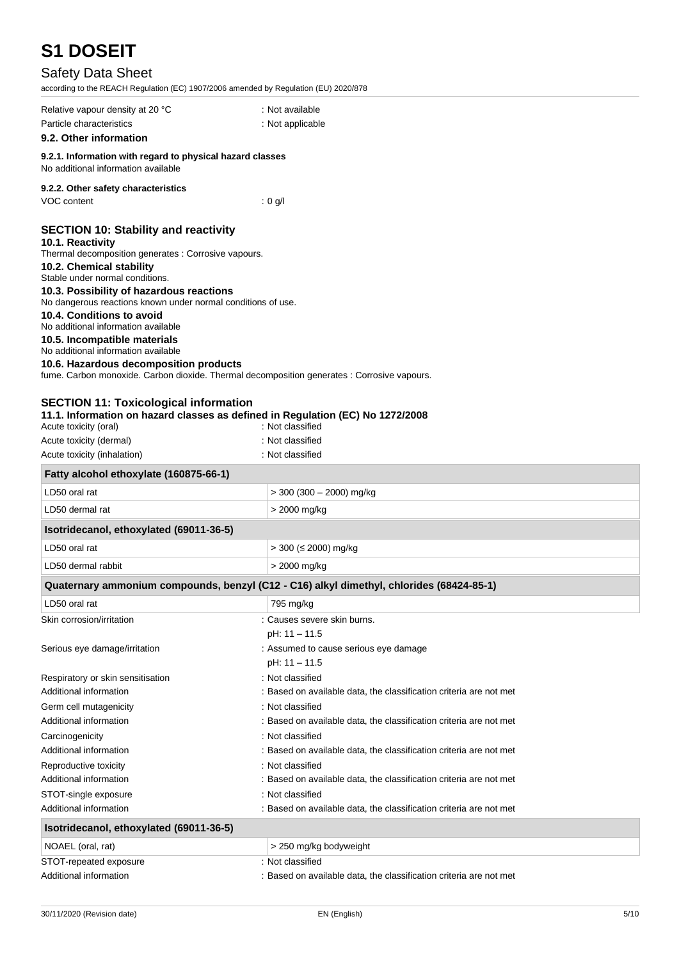## Safety Data Sheet

to the REACH Regulation (EC) 1907/2006 amended by Regulation (EU) 2020/878

| according to the KLACH Kegulation (LC) 1907/2000 amended by Regulation (LO) 2020/070                                                                                                                                                                                                                                                                                                                                                                                                                                                                                                                                                                                                                                                                                         |                                                                                          |
|------------------------------------------------------------------------------------------------------------------------------------------------------------------------------------------------------------------------------------------------------------------------------------------------------------------------------------------------------------------------------------------------------------------------------------------------------------------------------------------------------------------------------------------------------------------------------------------------------------------------------------------------------------------------------------------------------------------------------------------------------------------------------|------------------------------------------------------------------------------------------|
| Relative vapour density at 20 °C                                                                                                                                                                                                                                                                                                                                                                                                                                                                                                                                                                                                                                                                                                                                             | : Not available                                                                          |
| Particle characteristics                                                                                                                                                                                                                                                                                                                                                                                                                                                                                                                                                                                                                                                                                                                                                     | : Not applicable                                                                         |
| 9.2. Other information                                                                                                                                                                                                                                                                                                                                                                                                                                                                                                                                                                                                                                                                                                                                                       |                                                                                          |
| 9.2.1. Information with regard to physical hazard classes<br>No additional information available                                                                                                                                                                                                                                                                                                                                                                                                                                                                                                                                                                                                                                                                             |                                                                                          |
| 9.2.2. Other safety characteristics<br>VOC content                                                                                                                                                                                                                                                                                                                                                                                                                                                                                                                                                                                                                                                                                                                           | $: 0$ g/l                                                                                |
| <b>SECTION 10: Stability and reactivity</b><br>10.1. Reactivity<br>Thermal decomposition generates : Corrosive vapours.<br>10.2. Chemical stability<br>Stable under normal conditions.<br>10.3. Possibility of hazardous reactions<br>No dangerous reactions known under normal conditions of use.<br>10.4. Conditions to avoid<br>No additional information available<br>10.5. Incompatible materials<br>No additional information available<br>10.6. Hazardous decomposition products<br>fume. Carbon monoxide. Carbon dioxide. Thermal decomposition generates : Corrosive vapours.<br><b>SECTION 11: Toxicological information</b><br>11.1. Information on hazard classes as defined in Regulation (EC) No 1272/2008<br>Acute toxicity (oral)<br>Acute toxicity (dermal) | : Not classified<br>: Not classified                                                     |
| Acute toxicity (inhalation)                                                                                                                                                                                                                                                                                                                                                                                                                                                                                                                                                                                                                                                                                                                                                  | : Not classified                                                                         |
| Fatty alcohol ethoxylate (160875-66-1)                                                                                                                                                                                                                                                                                                                                                                                                                                                                                                                                                                                                                                                                                                                                       |                                                                                          |
| LD50 oral rat                                                                                                                                                                                                                                                                                                                                                                                                                                                                                                                                                                                                                                                                                                                                                                | $>$ 300 (300 - 2000) mg/kg                                                               |
| LD50 dermal rat                                                                                                                                                                                                                                                                                                                                                                                                                                                                                                                                                                                                                                                                                                                                                              | > 2000 mg/kg                                                                             |
| Isotridecanol, ethoxylated (69011-36-5)                                                                                                                                                                                                                                                                                                                                                                                                                                                                                                                                                                                                                                                                                                                                      |                                                                                          |
| LD50 oral rat                                                                                                                                                                                                                                                                                                                                                                                                                                                                                                                                                                                                                                                                                                                                                                | $>$ 300 ( $\leq$ 2000) mg/kg                                                             |
|                                                                                                                                                                                                                                                                                                                                                                                                                                                                                                                                                                                                                                                                                                                                                                              |                                                                                          |
| LD50 dermal rabbit                                                                                                                                                                                                                                                                                                                                                                                                                                                                                                                                                                                                                                                                                                                                                           | > 2000 mg/kg                                                                             |
|                                                                                                                                                                                                                                                                                                                                                                                                                                                                                                                                                                                                                                                                                                                                                                              | Quaternary ammonium compounds, benzyl (C12 - C16) alkyl dimethyl, chlorides (68424-85-1) |
| LD50 oral rat                                                                                                                                                                                                                                                                                                                                                                                                                                                                                                                                                                                                                                                                                                                                                                | 795 mg/kg                                                                                |
| Skin corrosion/irritation                                                                                                                                                                                                                                                                                                                                                                                                                                                                                                                                                                                                                                                                                                                                                    | : Causes severe skin burns.                                                              |
|                                                                                                                                                                                                                                                                                                                                                                                                                                                                                                                                                                                                                                                                                                                                                                              | pH: 11 - 11.5                                                                            |
| Serious eye damage/irritation                                                                                                                                                                                                                                                                                                                                                                                                                                                                                                                                                                                                                                                                                                                                                | : Assumed to cause serious eye damage                                                    |
|                                                                                                                                                                                                                                                                                                                                                                                                                                                                                                                                                                                                                                                                                                                                                                              | pH: 11 - 11.5                                                                            |
| Respiratory or skin sensitisation                                                                                                                                                                                                                                                                                                                                                                                                                                                                                                                                                                                                                                                                                                                                            | : Not classified                                                                         |
| Additional information                                                                                                                                                                                                                                                                                                                                                                                                                                                                                                                                                                                                                                                                                                                                                       | : Based on available data, the classification criteria are not met                       |
| Germ cell mutagenicity                                                                                                                                                                                                                                                                                                                                                                                                                                                                                                                                                                                                                                                                                                                                                       | : Not classified                                                                         |
| Additional information                                                                                                                                                                                                                                                                                                                                                                                                                                                                                                                                                                                                                                                                                                                                                       | : Based on available data, the classification criteria are not met                       |
| Carcinogenicity                                                                                                                                                                                                                                                                                                                                                                                                                                                                                                                                                                                                                                                                                                                                                              | : Not classified                                                                         |
| Additional information                                                                                                                                                                                                                                                                                                                                                                                                                                                                                                                                                                                                                                                                                                                                                       | : Based on available data, the classification criteria are not met                       |
| Reproductive toxicity                                                                                                                                                                                                                                                                                                                                                                                                                                                                                                                                                                                                                                                                                                                                                        | : Not classified                                                                         |
| Additional information                                                                                                                                                                                                                                                                                                                                                                                                                                                                                                                                                                                                                                                                                                                                                       | : Based on available data, the classification criteria are not met                       |
| STOT-single exposure                                                                                                                                                                                                                                                                                                                                                                                                                                                                                                                                                                                                                                                                                                                                                         | : Not classified                                                                         |
| Additional information                                                                                                                                                                                                                                                                                                                                                                                                                                                                                                                                                                                                                                                                                                                                                       | : Based on available data, the classification criteria are not met                       |
| Isotridecanol, ethoxylated (69011-36-5)                                                                                                                                                                                                                                                                                                                                                                                                                                                                                                                                                                                                                                                                                                                                      |                                                                                          |
| NOAEL (oral, rat)                                                                                                                                                                                                                                                                                                                                                                                                                                                                                                                                                                                                                                                                                                                                                            | > 250 mg/kg bodyweight                                                                   |
| STOT-repeated exposure                                                                                                                                                                                                                                                                                                                                                                                                                                                                                                                                                                                                                                                                                                                                                       | : Not classified                                                                         |

Additional information **interest of a state of a state of a** Based on available data, the classification criteria are not met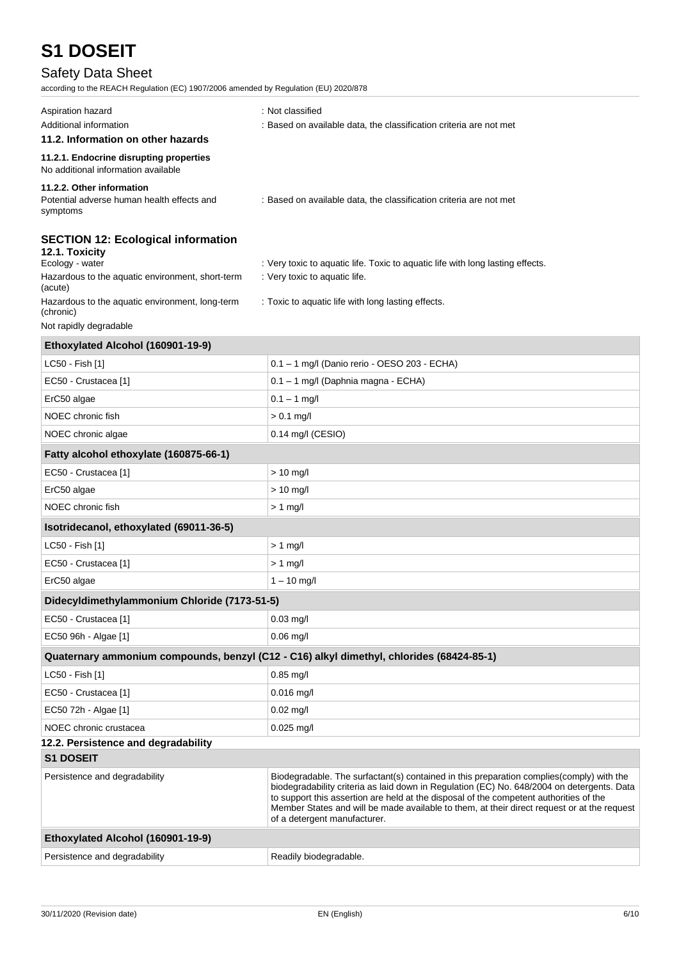## Safety Data Sheet

according to the REACH Regulation (EC) 1907/2006 amended by Regulation (EU) 2020/878

| Aspiration hazard<br>Additional information                                              | : Not classified<br>: Based on available data, the classification criteria are not met                                                                                                                                                                                                                                                                                                                          |  |
|------------------------------------------------------------------------------------------|-----------------------------------------------------------------------------------------------------------------------------------------------------------------------------------------------------------------------------------------------------------------------------------------------------------------------------------------------------------------------------------------------------------------|--|
| 11.2. Information on other hazards                                                       |                                                                                                                                                                                                                                                                                                                                                                                                                 |  |
| 11.2.1. Endocrine disrupting properties<br>No additional information available           |                                                                                                                                                                                                                                                                                                                                                                                                                 |  |
| 11.2.2. Other information<br>Potential adverse human health effects and<br>symptoms      | : Based on available data, the classification criteria are not met                                                                                                                                                                                                                                                                                                                                              |  |
| <b>SECTION 12: Ecological information</b><br>12.1. Toxicity<br>Ecology - water           | : Very toxic to aquatic life. Toxic to aquatic life with long lasting effects.                                                                                                                                                                                                                                                                                                                                  |  |
| Hazardous to the aquatic environment, short-term<br>(acute)                              | : Very toxic to aquatic life.                                                                                                                                                                                                                                                                                                                                                                                   |  |
| Hazardous to the aquatic environment, long-term<br>(chronic)                             | : Toxic to aquatic life with long lasting effects.                                                                                                                                                                                                                                                                                                                                                              |  |
| Not rapidly degradable                                                                   |                                                                                                                                                                                                                                                                                                                                                                                                                 |  |
| Ethoxylated Alcohol (160901-19-9)                                                        |                                                                                                                                                                                                                                                                                                                                                                                                                 |  |
| LC50 - Fish [1]                                                                          | 0.1 - 1 mg/l (Danio rerio - OESO 203 - ECHA)                                                                                                                                                                                                                                                                                                                                                                    |  |
| EC50 - Crustacea [1]                                                                     | 0.1 - 1 mg/l (Daphnia magna - ECHA)                                                                                                                                                                                                                                                                                                                                                                             |  |
| ErC50 algae                                                                              | $0.1 - 1$ mg/l                                                                                                                                                                                                                                                                                                                                                                                                  |  |
| NOEC chronic fish                                                                        | $> 0.1$ mg/l                                                                                                                                                                                                                                                                                                                                                                                                    |  |
| NOEC chronic algae                                                                       | 0.14 mg/l (CESIO)                                                                                                                                                                                                                                                                                                                                                                                               |  |
| Fatty alcohol ethoxylate (160875-66-1)                                                   |                                                                                                                                                                                                                                                                                                                                                                                                                 |  |
| EC50 - Crustacea [1]                                                                     | $> 10$ mg/l                                                                                                                                                                                                                                                                                                                                                                                                     |  |
| ErC50 algae                                                                              | $> 10$ mg/l                                                                                                                                                                                                                                                                                                                                                                                                     |  |
| NOEC chronic fish                                                                        | $> 1$ mg/l                                                                                                                                                                                                                                                                                                                                                                                                      |  |
| Isotridecanol, ethoxylated (69011-36-5)                                                  |                                                                                                                                                                                                                                                                                                                                                                                                                 |  |
| LC50 - Fish [1]                                                                          | $> 1$ mg/l                                                                                                                                                                                                                                                                                                                                                                                                      |  |
| EC50 - Crustacea [1]                                                                     | $> 1$ mg/l                                                                                                                                                                                                                                                                                                                                                                                                      |  |
| ErC50 algae                                                                              | $1 - 10$ mg/l                                                                                                                                                                                                                                                                                                                                                                                                   |  |
| Didecyldimethylammonium Chloride (7173-51-5)                                             |                                                                                                                                                                                                                                                                                                                                                                                                                 |  |
| EC50 - Crustacea [1]                                                                     | 0.03 mg/l                                                                                                                                                                                                                                                                                                                                                                                                       |  |
| EC50 96h - Algae [1]                                                                     | $0.06$ mg/l                                                                                                                                                                                                                                                                                                                                                                                                     |  |
| Quaternary ammonium compounds, benzyl (C12 - C16) alkyl dimethyl, chlorides (68424-85-1) |                                                                                                                                                                                                                                                                                                                                                                                                                 |  |
| LC50 - Fish [1]                                                                          | $0.85$ mg/l                                                                                                                                                                                                                                                                                                                                                                                                     |  |
| EC50 - Crustacea [1]                                                                     | $0.016$ mg/l                                                                                                                                                                                                                                                                                                                                                                                                    |  |
| EC50 72h - Algae [1]                                                                     | $0.02$ mg/l                                                                                                                                                                                                                                                                                                                                                                                                     |  |
| NOEC chronic crustacea                                                                   | $0.025$ mg/l                                                                                                                                                                                                                                                                                                                                                                                                    |  |
| 12.2. Persistence and degradability                                                      |                                                                                                                                                                                                                                                                                                                                                                                                                 |  |
| <b>S1 DOSEIT</b>                                                                         |                                                                                                                                                                                                                                                                                                                                                                                                                 |  |
| Persistence and degradability                                                            | Biodegradable. The surfactant(s) contained in this preparation complies(comply) with the<br>biodegradability criteria as laid down in Regulation (EC) No. 648/2004 on detergents. Data<br>to support this assertion are held at the disposal of the competent authorities of the<br>Member States and will be made available to them, at their direct request or at the request<br>of a detergent manufacturer. |  |
| Ethoxylated Alcohol (160901-19-9)                                                        |                                                                                                                                                                                                                                                                                                                                                                                                                 |  |
| Persistence and degradability                                                            | Readily biodegradable.                                                                                                                                                                                                                                                                                                                                                                                          |  |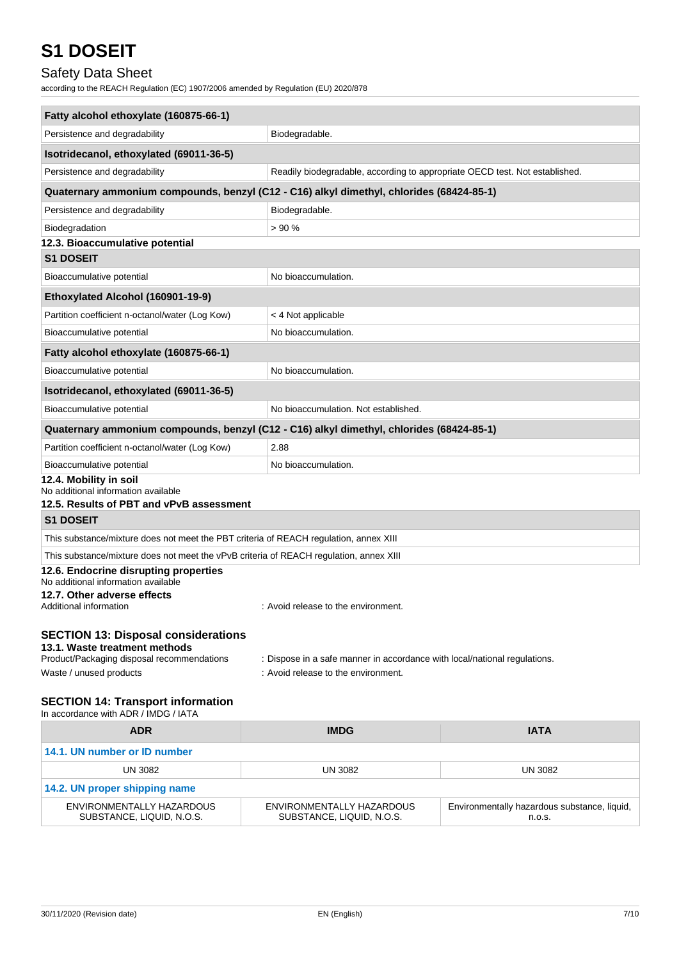## Safety Data Sheet

according to the REACH Regulation (EC) 1907/2006 amended by Regulation (EU) 2020/878

| Fatty alcohol ethoxylate (160875-66-1)                                                   |                                                                             |                |  |  |
|------------------------------------------------------------------------------------------|-----------------------------------------------------------------------------|----------------|--|--|
| Persistence and degradability                                                            | Biodegradable.                                                              |                |  |  |
| Isotridecanol, ethoxylated (69011-36-5)                                                  |                                                                             |                |  |  |
| Persistence and degradability                                                            | Readily biodegradable, according to appropriate OECD test. Not established. |                |  |  |
| Quaternary ammonium compounds, benzyl (C12 - C16) alkyl dimethyl, chlorides (68424-85-1) |                                                                             |                |  |  |
| Persistence and degradability                                                            | Biodegradable.                                                              |                |  |  |
| Biodegradation                                                                           | >90%                                                                        |                |  |  |
| 12.3. Bioaccumulative potential                                                          |                                                                             |                |  |  |
| <b>S1 DOSEIT</b>                                                                         |                                                                             |                |  |  |
| Bioaccumulative potential                                                                | No bioaccumulation.                                                         |                |  |  |
| Ethoxylated Alcohol (160901-19-9)                                                        |                                                                             |                |  |  |
| Partition coefficient n-octanol/water (Log Kow)                                          | < 4 Not applicable                                                          |                |  |  |
| Bioaccumulative potential                                                                | No bioaccumulation.                                                         |                |  |  |
| Fatty alcohol ethoxylate (160875-66-1)                                                   |                                                                             |                |  |  |
| Bioaccumulative potential                                                                | No bioaccumulation.                                                         |                |  |  |
| Isotridecanol, ethoxylated (69011-36-5)                                                  |                                                                             |                |  |  |
| Bioaccumulative potential                                                                | No bioaccumulation. Not established.                                        |                |  |  |
| Quaternary ammonium compounds, benzyl (C12 - C16) alkyl dimethyl, chlorides (68424-85-1) |                                                                             |                |  |  |
| Partition coefficient n-octanol/water (Log Kow)                                          | 2.88                                                                        |                |  |  |
| Bioaccumulative potential                                                                | No bioaccumulation.                                                         |                |  |  |
| 12.4. Mobility in soil<br>No additional information available                            |                                                                             |                |  |  |
| 12.5. Results of PBT and vPvB assessment                                                 |                                                                             |                |  |  |
| <b>S1 DOSEIT</b>                                                                         |                                                                             |                |  |  |
| This substance/mixture does not meet the PBT criteria of REACH regulation, annex XIII    |                                                                             |                |  |  |
| This substance/mixture does not meet the vPvB criteria of REACH regulation, annex XIII   |                                                                             |                |  |  |
| 12.6. Endocrine disrupting properties<br>No additional information available             |                                                                             |                |  |  |
| 12.7. Other adverse effects                                                              |                                                                             |                |  |  |
| Additional information                                                                   | : Avoid release to the environment.                                         |                |  |  |
| <b>SECTION 13: Disposal considerations</b>                                               |                                                                             |                |  |  |
| 13.1. Waste treatment methods                                                            |                                                                             |                |  |  |
| Product/Packaging disposal recommendations                                               | : Dispose in a safe manner in accordance with local/national regulations.   |                |  |  |
| Waste / unused products                                                                  | : Avoid release to the environment.                                         |                |  |  |
| <b>SECTION 14: Transport information</b>                                                 |                                                                             |                |  |  |
| In accordance with ADR / IMDG / IATA                                                     |                                                                             |                |  |  |
| <b>ADR</b>                                                                               | <b>IMDG</b>                                                                 | <b>IATA</b>    |  |  |
| 14.1. UN number or ID number                                                             |                                                                             |                |  |  |
| <b>UN 3082</b>                                                                           | <b>UN 3082</b>                                                              | <b>UN 3082</b> |  |  |

| 14.2. UN proper shipping name |                           |                                              |  |
|-------------------------------|---------------------------|----------------------------------------------|--|
| ENVIRONMENTALLY HAZARDOUS     | ENVIRONMENTALLY HAZARDOUS | Environmentally hazardous substance, liquid, |  |
| SUBSTANCE, LIQUID, N.O.S.     | SUBSTANCE, LIQUID, N.O.S. | n.o.s.                                       |  |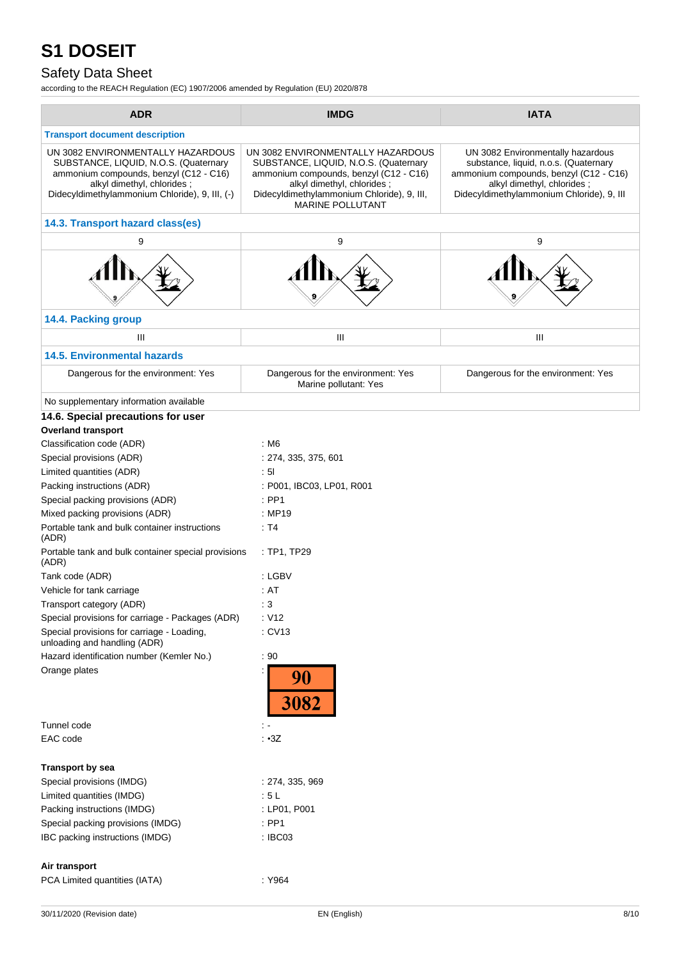## Safety Data Sheet

according to the REACH Regulation (EC) 1907/2006 amended by Regulation (EU) 2020/878

| <b>ADR</b>                                                                                                                                                                                           | <b>IMDG</b>                                                                                                                                                                                                          | <b>IATA</b>                                                                                                                                                                                     |
|------------------------------------------------------------------------------------------------------------------------------------------------------------------------------------------------------|----------------------------------------------------------------------------------------------------------------------------------------------------------------------------------------------------------------------|-------------------------------------------------------------------------------------------------------------------------------------------------------------------------------------------------|
| <b>Transport document description</b>                                                                                                                                                                |                                                                                                                                                                                                                      |                                                                                                                                                                                                 |
| UN 3082 ENVIRONMENTALLY HAZARDOUS<br>SUBSTANCE, LIQUID, N.O.S. (Quaternary<br>ammonium compounds, benzyl (C12 - C16)<br>alkyl dimethyl, chlorides;<br>Didecyldimethylammonium Chloride), 9, III, (-) | UN 3082 ENVIRONMENTALLY HAZARDOUS<br>SUBSTANCE, LIQUID, N.O.S. (Quaternary<br>ammonium compounds, benzyl (C12 - C16)<br>alkyl dimethyl, chlorides;<br>Didecyldimethylammonium Chloride), 9, III,<br>MARINE POLLUTANT | UN 3082 Environmentally hazardous<br>substance, liquid, n.o.s. (Quaternary<br>ammonium compounds, benzyl (C12 - C16)<br>alkyl dimethyl, chlorides;<br>Didecyldimethylammonium Chloride), 9, III |
| 14.3. Transport hazard class(es)                                                                                                                                                                     |                                                                                                                                                                                                                      |                                                                                                                                                                                                 |
| 9                                                                                                                                                                                                    | 9                                                                                                                                                                                                                    | 9                                                                                                                                                                                               |
|                                                                                                                                                                                                      |                                                                                                                                                                                                                      |                                                                                                                                                                                                 |
| 14.4. Packing group                                                                                                                                                                                  |                                                                                                                                                                                                                      |                                                                                                                                                                                                 |
| Ш                                                                                                                                                                                                    | Ш                                                                                                                                                                                                                    | Ш                                                                                                                                                                                               |
| <b>14.5. Environmental hazards</b>                                                                                                                                                                   |                                                                                                                                                                                                                      |                                                                                                                                                                                                 |
|                                                                                                                                                                                                      |                                                                                                                                                                                                                      |                                                                                                                                                                                                 |
| Dangerous for the environment: Yes                                                                                                                                                                   | Dangerous for the environment: Yes<br>Marine pollutant: Yes                                                                                                                                                          | Dangerous for the environment: Yes                                                                                                                                                              |
| No supplementary information available                                                                                                                                                               |                                                                                                                                                                                                                      |                                                                                                                                                                                                 |
| 14.6. Special precautions for user                                                                                                                                                                   |                                                                                                                                                                                                                      |                                                                                                                                                                                                 |
| <b>Overland transport</b>                                                                                                                                                                            |                                                                                                                                                                                                                      |                                                                                                                                                                                                 |
| Classification code (ADR)                                                                                                                                                                            | : M6                                                                                                                                                                                                                 |                                                                                                                                                                                                 |
| Special provisions (ADR)                                                                                                                                                                             | : 274, 335, 375, 601                                                                                                                                                                                                 |                                                                                                                                                                                                 |
| Limited quantities (ADR)                                                                                                                                                                             | : 51                                                                                                                                                                                                                 |                                                                                                                                                                                                 |
| Packing instructions (ADR)                                                                                                                                                                           | : P001, IBC03, LP01, R001                                                                                                                                                                                            |                                                                                                                                                                                                 |
| Special packing provisions (ADR)                                                                                                                                                                     | $:$ PP1                                                                                                                                                                                                              |                                                                                                                                                                                                 |
| Mixed packing provisions (ADR)                                                                                                                                                                       | : MP19                                                                                                                                                                                                               |                                                                                                                                                                                                 |
| Portable tank and bulk container instructions<br>(ADR)                                                                                                                                               | : T4                                                                                                                                                                                                                 |                                                                                                                                                                                                 |
| Portable tank and bulk container special provisions<br>(ADR)                                                                                                                                         | : TP1, TP29                                                                                                                                                                                                          |                                                                                                                                                                                                 |
| Tank code (ADR)                                                                                                                                                                                      | : LGBV                                                                                                                                                                                                               |                                                                                                                                                                                                 |
| Vehicle for tank carriage                                                                                                                                                                            | : AT                                                                                                                                                                                                                 |                                                                                                                                                                                                 |
| Transport category (ADR)                                                                                                                                                                             | : 3                                                                                                                                                                                                                  |                                                                                                                                                                                                 |
| Special provisions for carriage - Packages (ADR)                                                                                                                                                     | : V12                                                                                                                                                                                                                |                                                                                                                                                                                                 |
| Special provisions for carriage - Loading,<br>unloading and handling (ADR)                                                                                                                           | : CV13                                                                                                                                                                                                               |                                                                                                                                                                                                 |
| Hazard identification number (Kemler No.)                                                                                                                                                            | : 90                                                                                                                                                                                                                 |                                                                                                                                                                                                 |
| Orange plates                                                                                                                                                                                        | 90<br><b>3082</b>                                                                                                                                                                                                    |                                                                                                                                                                                                 |
| Tunnel code                                                                                                                                                                                          | : -                                                                                                                                                                                                                  |                                                                                                                                                                                                 |
| EAC code                                                                                                                                                                                             | : 3Z                                                                                                                                                                                                                 |                                                                                                                                                                                                 |
| <b>Transport by sea</b>                                                                                                                                                                              |                                                                                                                                                                                                                      |                                                                                                                                                                                                 |
| Special provisions (IMDG)                                                                                                                                                                            | : 274, 335, 969                                                                                                                                                                                                      |                                                                                                                                                                                                 |
| Limited quantities (IMDG)                                                                                                                                                                            | :5L                                                                                                                                                                                                                  |                                                                                                                                                                                                 |
| Packing instructions (IMDG)                                                                                                                                                                          | : LP01, P001                                                                                                                                                                                                         |                                                                                                                                                                                                 |
| Special packing provisions (IMDG)                                                                                                                                                                    | $:$ PP1                                                                                                                                                                                                              |                                                                                                                                                                                                 |
| IBC packing instructions (IMDG)                                                                                                                                                                      | : IBC03                                                                                                                                                                                                              |                                                                                                                                                                                                 |
| Air transport<br>PCA Limited quantities (IATA)                                                                                                                                                       | : Y964                                                                                                                                                                                                               |                                                                                                                                                                                                 |
|                                                                                                                                                                                                      |                                                                                                                                                                                                                      |                                                                                                                                                                                                 |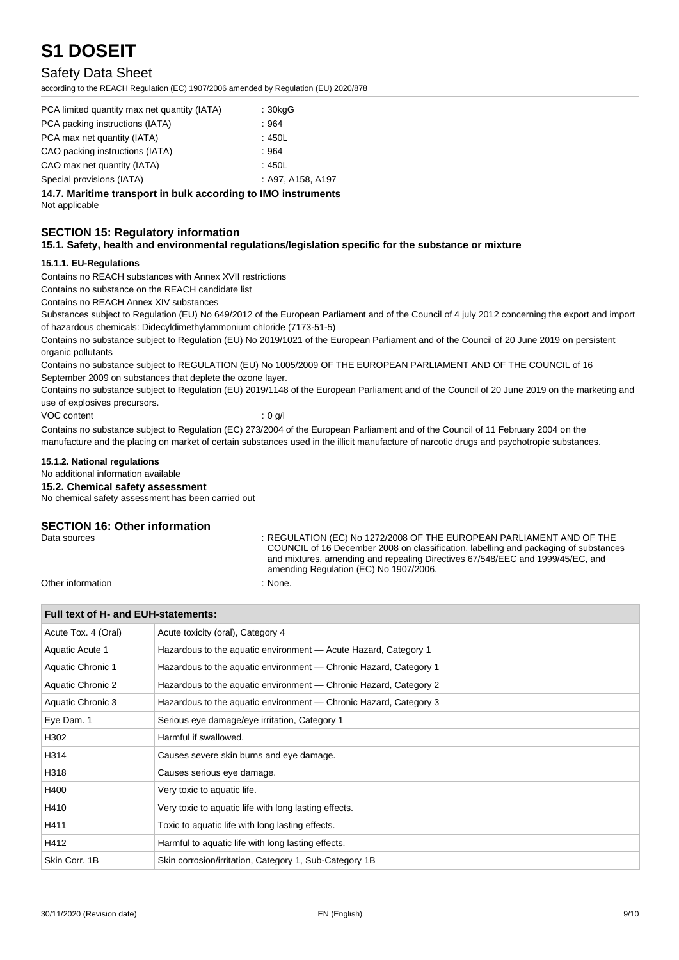### Safety Data Sheet

according to the REACH Regulation (EC) 1907/2006 amended by Regulation (EU) 2020/878

| PCA limited quantity max net quantity (IATA) | : 30kgG           |
|----------------------------------------------|-------------------|
| PCA packing instructions (IATA)              | :964              |
| PCA max net quantity (IATA)                  | :450L             |
| CAO packing instructions (IATA)              | :964              |
| CAO max net quantity (IATA)                  | :450L             |
| Special provisions (IATA)                    | : A97, A158, A197 |

**14.7. Maritime transport in bulk according to IMO instruments**

Not applicable

#### **SECTION 15: Regulatory information**

#### **15.1. Safety, health and environmental regulations/legislation specific for the substance or mixture**

#### **15.1.1. EU-Regulations**

Contains no REACH substances with Annex XVII restrictions

Contains no substance on the REACH candidate list

Contains no REACH Annex XIV substances

Substances subject to Regulation (EU) No 649/2012 of the European Parliament and of the Council of 4 july 2012 concerning the export and import of hazardous chemicals: Didecyldimethylammonium chloride (7173-51-5)

Contains no substance subject to Regulation (EU) No 2019/1021 of the European Parliament and of the Council of 20 June 2019 on persistent organic pollutants

Contains no substance subject to REGULATION (EU) No 1005/2009 OF THE EUROPEAN PARLIAMENT AND OF THE COUNCIL of 16 September 2009 on substances that deplete the ozone layer.

Contains no substance subject to Regulation (EU) 2019/1148 of the European Parliament and of the Council of 20 June 2019 on the marketing and use of explosives precursors.

VOC content : 0 g/l

Contains no substance subject to Regulation (EC) 273/2004 of the European Parliament and of the Council of 11 February 2004 on the manufacture and the placing on market of certain substances used in the illicit manufacture of narcotic drugs and psychotropic substances.

#### **15.1.2. National regulations**

No additional information available

#### **15.2. Chemical safety assessment**

No chemical safety assessment has been carried out

#### **SECTION 16: Other information**

Data sources : REGULATION (EC) No 1272/2008 OF THE EUROPEAN PARLIAMENT AND OF THE COUNCIL of 16 December 2008 on classification, labelling and packaging of substances and mixtures, amending and repealing Directives 67/548/EEC and 1999/45/EC, and amending Regulation (EC) No 1907/2006.

Other information  $\blacksquare$  : None.

#### **Full text of H- and EUH-statements:**

| Acute Tox. 4 (Oral)      | Acute toxicity (oral), Category 4                                 |  |  |
|--------------------------|-------------------------------------------------------------------|--|--|
| Aquatic Acute 1          | Hazardous to the aquatic environment - Acute Hazard, Category 1   |  |  |
| <b>Aquatic Chronic 1</b> | Hazardous to the aquatic environment - Chronic Hazard, Category 1 |  |  |
| Aquatic Chronic 2        | Hazardous to the aquatic environment — Chronic Hazard, Category 2 |  |  |
| Aquatic Chronic 3        | Hazardous to the aquatic environment — Chronic Hazard, Category 3 |  |  |
| Eye Dam. 1               | Serious eye damage/eye irritation, Category 1                     |  |  |
| H302                     | Harmful if swallowed.                                             |  |  |
| H314                     | Causes severe skin burns and eye damage.                          |  |  |
| H318                     | Causes serious eye damage.                                        |  |  |
| H400                     | Very toxic to aquatic life.                                       |  |  |
| H410                     | Very toxic to aquatic life with long lasting effects.             |  |  |
| H411                     | Toxic to aquatic life with long lasting effects.                  |  |  |
| H412                     | Harmful to aquatic life with long lasting effects.                |  |  |
| Skin Corr. 1B            | Skin corrosion/irritation, Category 1, Sub-Category 1B            |  |  |